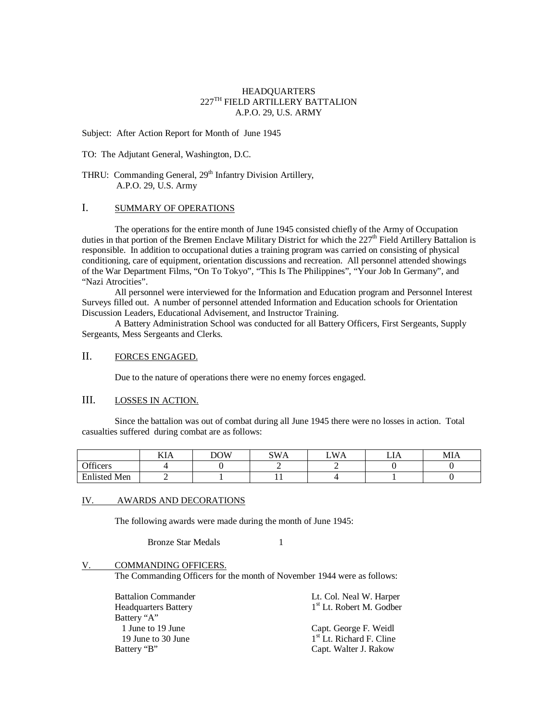### HEADQUARTERS  $227^{\mathrm{TH}}$  FIELD ARTILLERY BATTALION A.P.O. 29, U.S. ARMY

Subject: After Action Report for Month of June 1945

TO: The Adjutant General, Washington, D.C.

THRU: Commanding General, 29<sup>th</sup> Infantry Division Artillery, A.P.O. 29, U.S. Army

## I. SUMMARY OF OPERATIONS

The operations for the entire month of June 1945 consisted chiefly of the Army of Occupation duties in that portion of the Bremen Enclave Military District for which the  $227<sup>th</sup>$  Field Artillery Battalion is responsible. In addition to occupational duties a training program was carried on consisting of physical conditioning, care of equipment, orientation discussions and recreation. All personnel attended showings of the War Department Films, "On To Tokyo", "This Is The Philippines", "Your Job In Germany", and "Nazi Atrocities".

All personnel were interviewed for the Information and Education program and Personnel Interest Surveys filled out. A number of personnel attended Information and Education schools for Orientation Discussion Leaders, Educational Advisement, and Instructor Training.

A Battery Administration School was conducted for all Battery Officers, First Sergeants, Supply Sergeants, Mess Sergeants and Clerks.

## II. FORCES ENGAGED.

Due to the nature of operations there were no enemy forces engaged.

# III. LOSSES IN ACTION.

Since the battalion was out of combat during all June 1945 there were no losses in action. Total casualties suffered during combat are as follows:

|                              | KIA | DOW | SWA | <b>WA</b><br>∸ | ⊷ | MIA |
|------------------------------|-----|-----|-----|----------------|---|-----|
| Officers                     |     |     |     |                |   |     |
| Enlisted<br><sup>1</sup> Men |     |     |     |                |   |     |

#### IV. AWARDS AND DECORATIONS

The following awards were made during the month of June 1945:

Bronze Star Medals 1

V. COMMANDING OFFICERS.

The Commanding Officers for the month of November 1944 were as follows:

| <b>Battalion Commander</b><br><b>Headquarters Battery</b> | Lt. Col. Neal W. Harper<br>1 <sup>st</sup> Lt. Robert M. Godber |
|-----------------------------------------------------------|-----------------------------------------------------------------|
| Battery "A"                                               |                                                                 |
| 1 June to 19 June                                         | Capt. George F. Weidl                                           |
| 19 June to 30 June                                        | 1 <sup>st</sup> Lt. Richard F. Cline                            |
| Battery "B"                                               | Capt. Walter J. Rakow                                           |